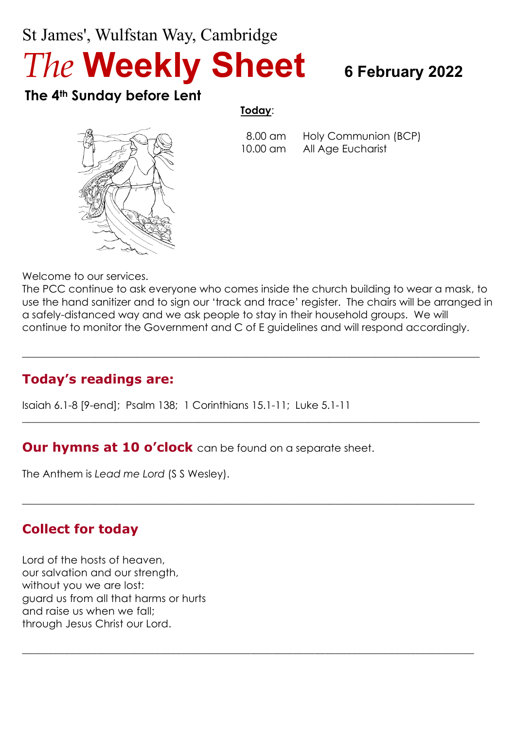# St James', Wulfstan Way, Cambridge *The* **Weekly Sheet 6 February <sup>2022</sup>**

# **The 4th Sunday before Lent**

#### **Today**:



 8.00 am Holy Communion (BCP) 10.00 am All Age Eucharist

Welcome to our services.

The PCC continue to ask everyone who comes inside the church building to wear a mask, to use the hand sanitizer and to sign our 'track and trace' register. The chairs will be arranged in a safely-distanced way and we ask people to stay in their household groups. We will continue to monitor the Government and C of E guidelines and will respond accordingly.

 $\_$  , and the set of the set of the set of the set of the set of the set of the set of the set of the set of the set of the set of the set of the set of the set of the set of the set of the set of the set of the set of th

 $\_$  , and the set of the set of the set of the set of the set of the set of the set of the set of the set of the set of the set of the set of the set of the set of the set of the set of the set of the set of the set of th

 $\_$  , and the set of the set of the set of the set of the set of the set of the set of the set of the set of the set of the set of the set of the set of the set of the set of the set of the set of the set of the set of th

\_\_\_\_\_\_\_\_\_\_\_\_\_\_\_\_\_\_\_\_\_\_\_\_\_\_\_\_\_\_\_\_\_\_\_\_\_\_\_\_\_\_\_\_\_\_\_\_\_\_\_\_\_\_\_\_\_\_\_\_\_\_\_\_\_\_\_\_\_\_\_\_\_\_\_\_\_\_\_\_\_\_\_\_\_

# **Today's readings are:**

Isaiah 6.1-8 [9-end]; Psalm 138; 1 Corinthians 15.1-11; Luke 5.1-11

**Our hymns at 10 o'clock** can be found on a separate sheet.

The Anthem is *Lead me Lord* (S S Wesley).

# **Collect for today**

Lord of the hosts of heaven, our salvation and our strength, without you we are lost: guard us from all that harms or hurts and raise us when we fall; through Jesus Christ our Lord.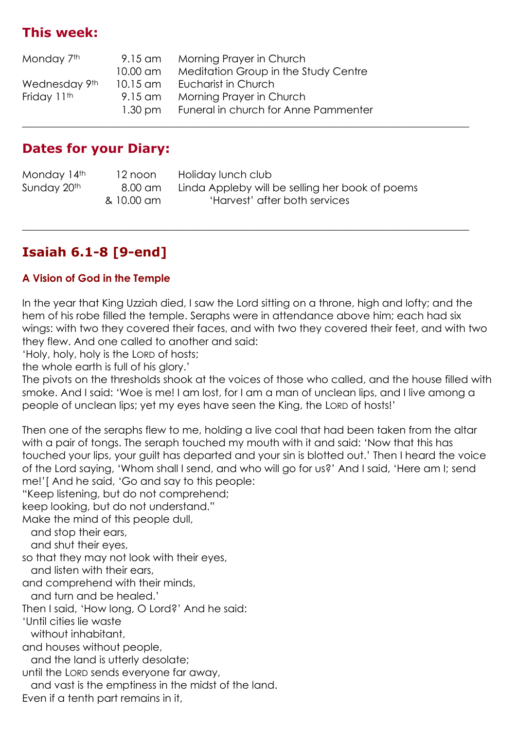# **This week:**

| Monday 7th    | 9.15 am  | Morning Prayer in Church                     |
|---------------|----------|----------------------------------------------|
|               | 10.00 am | Meditation Group in the Study Centre         |
| Wednesday 9th | 10.15 am | Eucharist in Church                          |
| Friday 11th   | 9.15 am  | Morning Prayer in Church                     |
|               |          | 1.30 pm Funeral in church for Anne Pammenter |
|               |          |                                              |

#### **Dates for your Diary:**

Monday 14<sup>th</sup> 12 noon Holiday lunch club Sunday 20<sup>th</sup> 8.00 am Linda Appleby will be selling her book of poems & 10.00 am 'Harvest' after both services

#### **Isaiah 6.1-8 [9-end]**

#### **A Vision of God in the Temple**

In the year that King Uzziah died, I saw the Lord sitting on a throne, high and lofty; and the hem of his robe filled the temple. Seraphs were in attendance above him; each had six wings: with two they covered their faces, and with two they covered their feet, and with two they flew. And one called to another and said:

 $\_$  , and the set of the set of the set of the set of the set of the set of the set of the set of the set of the set of the set of the set of the set of the set of the set of the set of the set of the set of the set of th

'Holy, holy, holy is the LORD of hosts;

the whole earth is full of his glory.'

The pivots on the thresholds shook at the voices of those who called, and the house filled with smoke. And I said: 'Woe is me! I am lost, for I am a man of unclean lips, and I live among a people of unclean lips; yet my eyes have seen the King, the LORD of hosts!'

Then one of the seraphs flew to me, holding a live coal that had been taken from the altar with a pair of tongs. The seraph touched my mouth with it and said: 'Now that this has touched your lips, your guilt has departed and your sin is blotted out.' Then I heard the voice of the Lord saying, 'Whom shall I send, and who will go for us?' And I said, 'Here am I; send me!'[ And he said, 'Go and say to this people:

"Keep listening, but do not comprehend;

keep looking, but do not understand."

Make the mind of this people dull,

and stop their ears,

and shut their eyes,

so that they may not look with their eyes,

and listen with their ears,

and comprehend with their minds,

and turn and be healed.'

Then I said, 'How long, O Lord?' And he said:

'Until cities lie waste

without inhabitant,

and houses without people,

and the land is utterly desolate;

until the LORD sends everyone far away,

and vast is the emptiness in the midst of the land.

Even if a tenth part remains in it,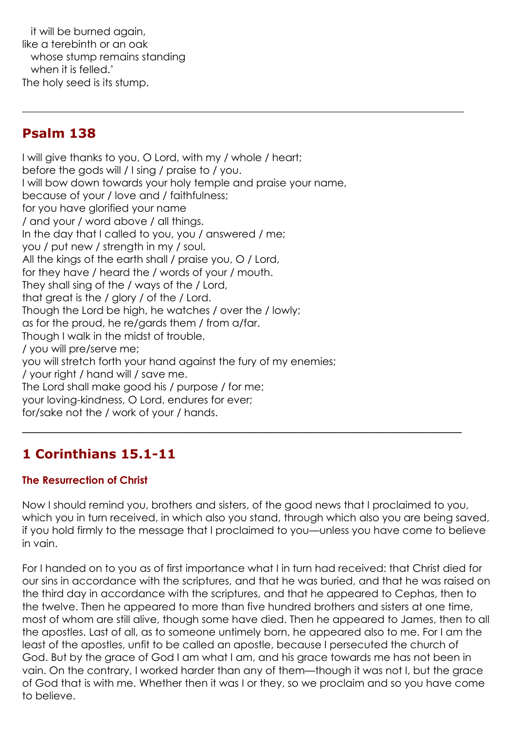it will be burned again, like a terebinth or an oak whose stump remains standing when it is felled.' The holy seed is its stump.

#### **Psalm 138**

I will give thanks to you, O Lord, with my / whole / heart; before the gods will / I sing / praise to / you. I will bow down towards your holy temple and praise your name, because of your / love and / faithfulness; for you have glorified your name / and your / word above / all things. In the day that I called to you, you / answered / me; you / put new / strength in my / soul. All the kings of the earth shall / praise you, O / Lord, for they have / heard the / words of your / mouth. They shall sing of the / ways of the / Lord, that great is the / glory / of the / Lord. Though the Lord be high, he watches / over the / lowly; as for the proud, he re/gards them / from a/far. Though I walk in the midst of trouble, / you will pre/serve me; you will stretch forth your hand against the fury of my enemies; / your right / hand will / save me. The Lord shall make good his / purpose / for me; your loving-kindness, O Lord, endures for ever; for/sake not the / work of your / hands.

 $\_$  , and the set of the set of the set of the set of the set of the set of the set of the set of the set of the set of the set of the set of the set of the set of the set of the set of the set of the set of the set of th

# **1 Corinthians 15.1-11**

#### **The Resurrection of Christ**

Now I should remind you, brothers and sisters, of the good news that I proclaimed to you, which you in turn received, in which also you stand, through which also you are being saved, if you hold firmly to the message that I proclaimed to you—unless you have come to believe in vain.

\_\_\_\_\_\_\_\_\_\_\_\_\_\_\_\_\_\_\_\_\_\_\_\_\_\_\_\_\_\_\_\_\_\_\_\_\_\_\_\_\_\_\_\_\_\_\_\_\_\_\_\_\_\_\_

For I handed on to you as of first importance what I in turn had received: that Christ died for our sins in accordance with the scriptures, and that he was buried, and that he was raised on the third day in accordance with the scriptures, and that he appeared to Cephas, then to the twelve. Then he appeared to more than five hundred brothers and sisters at one time, most of whom are still alive, though some have died. Then he appeared to James, then to all the apostles. Last of all, as to someone untimely born, he appeared also to me. For I am the least of the apostles, unfit to be called an apostle, because I persecuted the church of God. But by the grace of God I am what I am, and his grace towards me has not been in vain. On the contrary, I worked harder than any of them—though it was not I, but the grace of God that is with me. Whether then it was I or they, so we proclaim and so you have come to believe.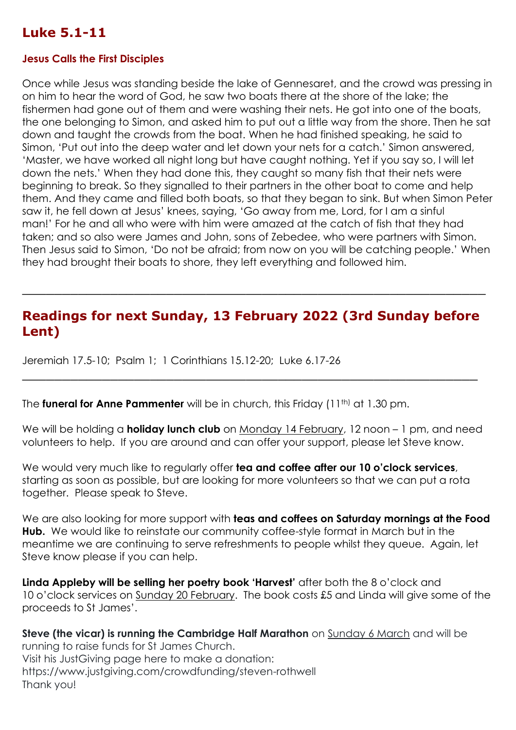#### **Luke 5.1-11**

#### **Jesus Calls the First Disciples**

Once while Jesus was standing beside the lake of Gennesaret, and the crowd was pressing in on him to hear the word of God, he saw two boats there at the shore of the lake; the fishermen had gone out of them and were washing their nets. He got into one of the boats, the one belonging to Simon, and asked him to put out a little way from the shore. Then he sat down and taught the crowds from the boat. When he had finished speaking, he said to Simon, 'Put out into the deep water and let down your nets for a catch.' Simon answered, 'Master, we have worked all night long but have caught nothing. Yet if you say so, I will let down the nets.' When they had done this, they caught so many fish that their nets were beginning to break. So they signalled to their partners in the other boat to come and help them. And they came and filled both boats, so that they began to sink. But when Simon Peter saw it, he fell down at Jesus' knees, saying, 'Go away from me, Lord, for I am a sinful man!' For he and all who were with him were amazed at the catch of fish that they had taken; and so also were James and John, sons of Zebedee, who were partners with Simon. Then Jesus said to Simon, 'Do not be afraid; from now on you will be catching people.' When they had brought their boats to shore, they left everything and followed him.

#### **Readings for next Sunday, 13 February 2022 (3rd Sunday before Lent)**

\_\_\_\_\_\_\_\_\_\_\_\_\_\_\_\_\_\_\_\_\_\_\_\_\_\_\_\_\_\_\_\_\_\_\_\_\_\_\_\_\_\_\_\_\_\_\_\_\_\_\_\_\_\_\_\_\_

\_\_\_\_\_\_\_\_\_\_\_\_\_\_\_\_\_\_\_\_\_\_\_\_\_\_\_\_\_\_\_\_\_\_\_\_\_\_\_\_\_\_\_\_\_\_\_\_\_\_\_\_\_\_\_\_\_\_

Jeremiah 17.5-10; Psalm 1; 1 Corinthians 15.12-20; Luke 6.17-26

The **funeral for Anne Pammenter** will be in church, this Friday (11th) at 1.30 pm.

We will be holding a **holiday lunch club** on Monday 14 February, 12 noon – 1 pm, and need volunteers to help. If you are around and can offer your support, please let Steve know.

We would very much like to regularly offer **tea and coffee after our 10 o'clock services**, starting as soon as possible, but are looking for more volunteers so that we can put a rota together. Please speak to Steve.

We are also looking for more support with **teas and coffees on Saturday mornings at the Food Hub.** We would like to reinstate our community coffee-style format in March but in the meantime we are continuing to serve refreshments to people whilst they queue. Again, let Steve know please if you can help.

**Linda Appleby will be selling her poetry book 'Harvest'** after both the 8 o'clock and 10 o'clock services on Sunday 20 February. The book costs £5 and Linda will give some of the proceeds to St James'.

**Steve (the vicar) is running the Cambridge Half Marathon** on Sunday 6 March and will be running to raise funds for St James Church. Visit his JustGiving page here to make a donation: https://www.justgiving.com/crowdfunding/steven-rothwell Thank you!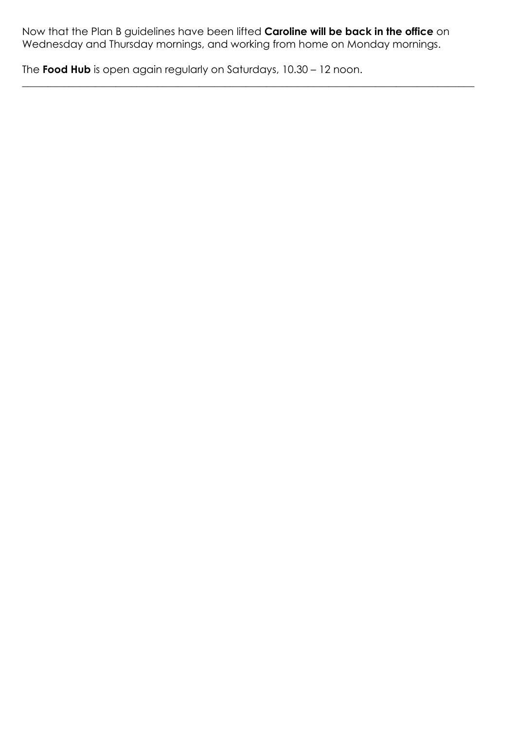Now that the Plan B guidelines have been lifted **Caroline will be back in the office** on Wednesday and Thursday mornings, and working from home on Monday mornings.

 $\_$  , and the set of the set of the set of the set of the set of the set of the set of the set of the set of the set of the set of the set of the set of the set of the set of the set of the set of the set of the set of th

The **Food Hub** is open again regularly on Saturdays, 10.30 – 12 noon.